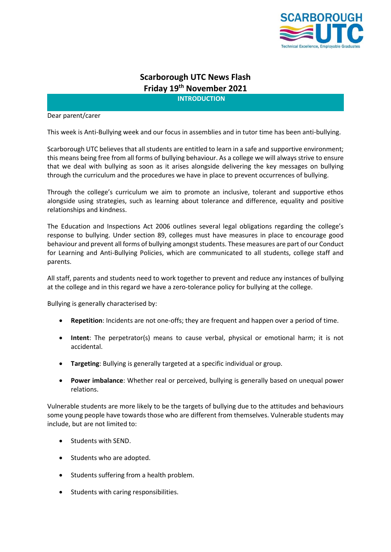

# **Scarborough UTC News Flash Friday 19 th November 2021 INTRODUCTION**

Dear parent/carer

This week is Anti-Bullying week and our focus in assemblies and in tutor time has been anti-bullying.

Scarborough UTC believes that all students are entitled to learn in a safe and supportive environment; this means being free from all forms of bullying behaviour. As a college we will always strive to ensure that we deal with bullying as soon as it arises alongside delivering the key messages on bullying through the curriculum and the procedures we have in place to prevent occurrences of bullying.

Through the college's curriculum we aim to promote an inclusive, tolerant and supportive ethos alongside using strategies, such as learning about tolerance and difference, equality and positive relationships and kindness.

The Education and Inspections Act 2006 outlines several legal obligations regarding the college's response to bullying. Under section 89, colleges must have measures in place to encourage good behaviour and prevent all forms of bullying amongst students. These measures are part of our Conduct for Learning and Anti-Bullying Policies, which are communicated to all students, college staff and parents.

All staff, parents and students need to work together to prevent and reduce any instances of bullying at the college and in this regard we have a zero-tolerance policy for bullying at the college.

Bullying is generally characterised by:

- **Repetition**: Incidents are not one-offs; they are frequent and happen over a period of time.
- **Intent**: The perpetrator(s) means to cause verbal, physical or emotional harm; it is not accidental.
- **Targeting**: Bullying is generally targeted at a specific individual or group.
- **Power imbalance**: Whether real or perceived, bullying is generally based on unequal power relations.

Vulnerable students are more likely to be the targets of bullying due to the attitudes and behaviours some young people have towards those who are different from themselves. Vulnerable students may include, but are not limited to:

- Students with SEND.
- Students who are adopted.
- Students suffering from a health problem.
- Students with caring responsibilities.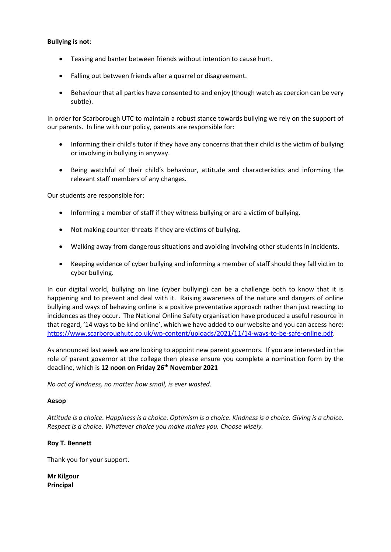# **Bullying is not**:

- Teasing and banter between friends without intention to cause hurt.
- Falling out between friends after a quarrel or disagreement.
- Behaviour that all parties have consented to and enjoy (though watch as coercion can be very subtle).

In order for Scarborough UTC to maintain a robust stance towards bullying we rely on the support of our parents. In line with our policy, parents are responsible for:

- Informing their child's tutor if they have any concerns that their child is the victim of bullying or involving in bullying in anyway.
- Being watchful of their child's behaviour, attitude and characteristics and informing the relevant staff members of any changes.

Our students are responsible for:

- Informing a member of staff if they witness bullying or are a victim of bullying.
- Not making counter-threats if they are victims of bullying.
- Walking away from dangerous situations and avoiding involving other students in incidents.
- Keeping evidence of cyber bullying and informing a member of staff should they fall victim to cyber bullying.

In our digital world, bullying on line (cyber bullying) can be a challenge both to know that it is happening and to prevent and deal with it. Raising awareness of the nature and dangers of online bullying and ways of behaving online is a positive preventative approach rather than just reacting to incidences as they occur. The National Online Safety organisation have produced a useful resource in that regard, '14 ways to be kind online', which we have added to our website and you can access here: [https://www.scarboroughutc.co.uk/wp-content/uploads/2021/11/14-ways-to-be-safe-online.pdf.](https://www.scarboroughutc.co.uk/wp-content/uploads/2021/11/14-ways-to-be-safe-online.pdf)

As announced last week we are looking to appoint new parent governors. If you are interested in the role of parent governor at the college then please ensure you complete a nomination form by the deadline, which is **12 noon on Friday 26th November 2021**

*No act of kindness, no matter how small, is ever wasted.*

## **[Aesop](https://www.brainyquote.com/authors/aesop-quotes)**

*Attitude is a choice. Happiness is a choice. Optimism is a choice. Kindness is a choice. Giving is a choice. Respect is a choice. Whatever choice you make makes you. Choose wisely.*

## **Roy T. Bennett**

Thank you for your support.

**Mr Kilgour Principal**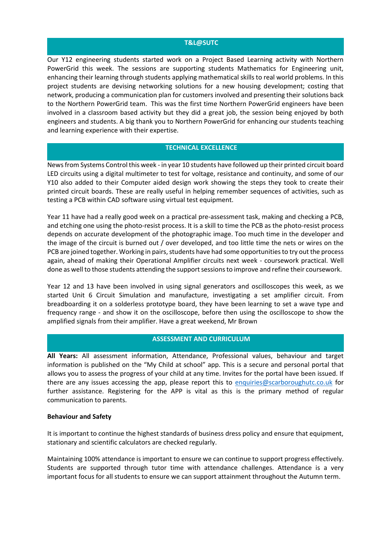#### **T&L@SUTC**

Our Y12 engineering students started work on a Project Based Learning activity with Northern PowerGrid this week. The sessions are supporting students Mathematics for Engineering unit, enhancing their learning through students applying mathematical skills to real world problems. In this project students are devising networking solutions for a new housing development; costing that network, producing a communication plan for customers involved and presenting their solutions back to the Northern PowerGrid team. This was the first time Northern PowerGrid engineers have been involved in a classroom based activity but they did a great job, the session being enjoyed by both engineers and students. A big thank you to Northern PowerGrid for enhancing our students teaching and learning experience with their expertise.

# **TECHNICAL EXCELLENCE**

News from Systems Control this week - in year 10 students have followed up their printed circuit board LED circuits using a digital multimeter to test for voltage, resistance and continuity, and some of our Y10 also added to their Computer aided design work showing the steps they took to create their printed circuit boards. These are really useful in helping remember sequences of activities, such as testing a PCB within CAD software using virtual test equipment.

Year 11 have had a really good week on a practical pre-assessment task, making and checking a PCB, and etching one using the photo-resist process. It is a skill to time the PCB as the photo-resist process depends on accurate development of the photographic image. Too much time in the developer and the image of the circuit is burned out / over developed, and too little time the nets or wires on the PCB are joined together. Working in pairs, students have had some opportunities to try out the process again, ahead of making their Operational Amplifier circuits next week - coursework practical. Well done as well to those students attending the support sessions to improve and refine their coursework.

Year 12 and 13 have been involved in using signal generators and oscilloscopes this week, as we started Unit 6 Circuit Simulation and manufacture, investigating a set amplifier circuit. From breadboarding it on a solderless prototype board, they have been learning to set a wave type and frequency range - and show it on the oscilloscope, before then using the oscilloscope to show the amplified signals from their amplifier. Have a great weekend, Mr Brown

## **ASSESSMENT AND CURRICULUM**

**All Years:** All assessment information, Attendance, Professional values, behaviour and target information is published on the "My Child at school" app. This is a secure and personal portal that allows you to assess the progress of your child at any time. Invites for the portal have been issued. If there are any issues accessing the app, please report this to [enquiries@scarboroughutc.co.uk](mailto:enquiries@scarboroughutc.co.uk) for further assistance. Registering for the APP is vital as this is the primary method of regular communication to parents.

## **Behaviour and Safety**

It is important to continue the highest standards of business dress policy and ensure that equipment, stationary and scientific calculators are checked regularly.

Maintaining 100% attendance is important to ensure we can continue to support progress effectively. Students are supported through tutor time with attendance challenges. Attendance is a very important focus for all students to ensure we can support attainment throughout the Autumn term.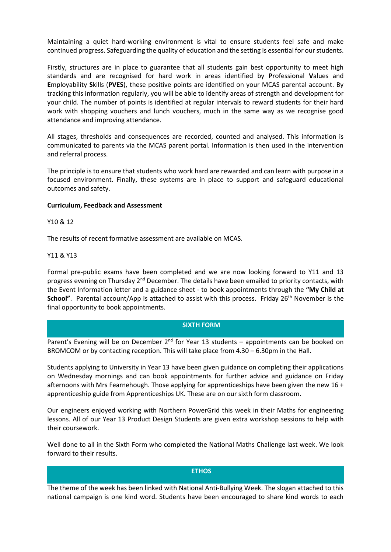Maintaining a quiet hard-working environment is vital to ensure students feel safe and make continued progress. Safeguarding the quality of education and the setting is essential for our students.

Firstly, structures are in place to guarantee that all students gain best opportunity to meet high standards and are recognised for hard work in areas identified by **P**rofessional **V**alues and **E**mployability **S**kills (**PVES**), these positive points are identified on your MCAS parental account. By tracking this information regularly, you will be able to identify areas of strength and development for your child. The number of points is identified at regular intervals to reward students for their hard work with shopping vouchers and lunch vouchers, much in the same way as we recognise good attendance and improving attendance.

All stages, thresholds and consequences are recorded, counted and analysed. This information is communicated to parents via the MCAS parent portal. Information is then used in the intervention and referral process.

The principle is to ensure that students who work hard are rewarded and can learn with purpose in a focused environment. Finally, these systems are in place to support and safeguard educational outcomes and safety.

## **Curriculum, Feedback and Assessment**

#### Y10 & 12

The results of recent formative assessment are available on MCAS.

#### Y11 & Y13

Formal pre-public exams have been completed and we are now looking forward to Y11 and 13 progress evening on Thursday 2<sup>nd</sup> December. The details have been emailed to priority contacts, with the Event Information letter and a guidance sheet - to book appointments through the **"My Child at**  School". Parental account/App is attached to assist with this process. Friday 26<sup>th</sup> November is the final opportunity to book appointments.

#### **SIXTH FORM**

Parent's Evening will be on December  $2<sup>nd</sup>$  for Year 13 students – appointments can be booked on BROMCOM or by contacting reception. This will take place from 4.30 – 6.30pm in the Hall.

Students applying to University in Year 13 have been given guidance on completing their applications on Wednesday mornings and can book appointments for further advice and guidance on Friday afternoons with Mrs Fearnehough. Those applying for apprenticeships have been given the new 16 + apprenticeship guide from Apprenticeships UK. These are on our sixth form classroom.

Our engineers enjoyed working with Northern PowerGrid this week in their Maths for engineering lessons. All of our Year 13 Product Design Students are given extra workshop sessions to help with their coursework.

Well done to all in the Sixth Form who completed the National Maths Challenge last week. We look forward to their results.

# **ETHOS**

The theme of the week has been linked with National Anti-Bullying Week. The slogan attached to this national campaign is one kind word. Students have been encouraged to share kind words to each